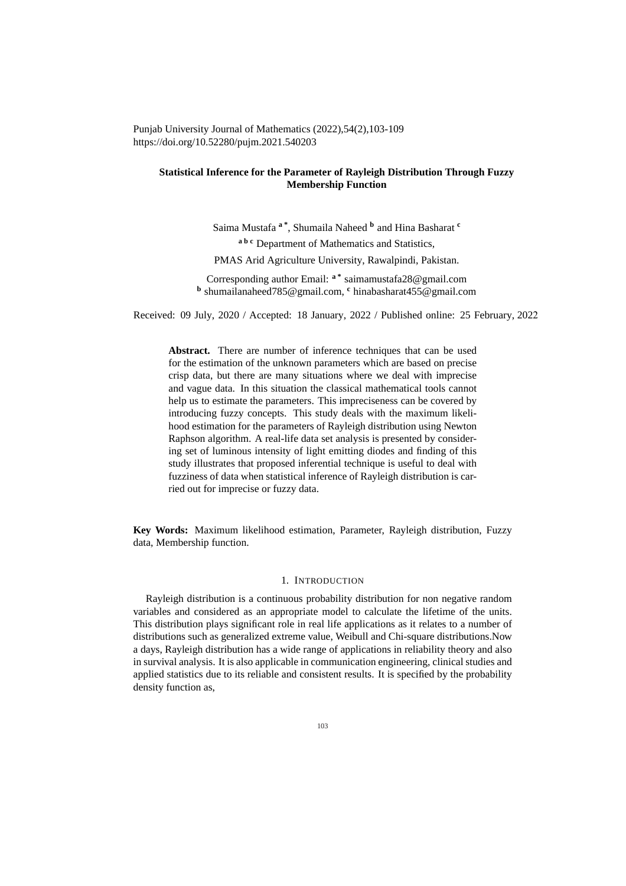Punjab University Journal of Mathematics (2022),54(2),103-109 https://doi.org/10.52280/pujm.2021.540203

# **Statistical Inference for the Parameter of Rayleigh Distribution Through Fuzzy Membership Function**

Saima Mustafa **<sup>a</sup> \*** , Shumaila Naheed **<sup>b</sup>** and Hina Basharat **<sup>c</sup> <sup>a</sup> <sup>b</sup> <sup>c</sup>** Department of Mathematics and Statistics,

PMAS Arid Agriculture University, Rawalpindi, Pakistan.

Corresponding author Email: **<sup>a</sup> \*** saimamustafa28@gmail.com **b** shumailanaheed785@gmail.com, **<sup>c</sup>** hinabasharat455@gmail.com

Received: 09 July, 2020 / Accepted: 18 January, 2022 / Published online: 25 February, 2022

**Abstract.** There are number of inference techniques that can be used for the estimation of the unknown parameters which are based on precise crisp data, but there are many situations where we deal with imprecise and vague data. In this situation the classical mathematical tools cannot help us to estimate the parameters. This impreciseness can be covered by introducing fuzzy concepts. This study deals with the maximum likelihood estimation for the parameters of Rayleigh distribution using Newton Raphson algorithm. A real-life data set analysis is presented by considering set of luminous intensity of light emitting diodes and finding of this study illustrates that proposed inferential technique is useful to deal with fuzziness of data when statistical inference of Rayleigh distribution is carried out for imprecise or fuzzy data.

**Key Words:** Maximum likelihood estimation, Parameter, Rayleigh distribution, Fuzzy data, Membership function.

## 1. INTRODUCTION

Rayleigh distribution is a continuous probability distribution for non negative random variables and considered as an appropriate model to calculate the lifetime of the units. This distribution plays significant role in real life applications as it relates to a number of distributions such as generalized extreme value, Weibull and Chi-square distributions.Now a days, Rayleigh distribution has a wide range of applications in reliability theory and also in survival analysis. It is also applicable in communication engineering, clinical studies and applied statistics due to its reliable and consistent results. It is specified by the probability density function as,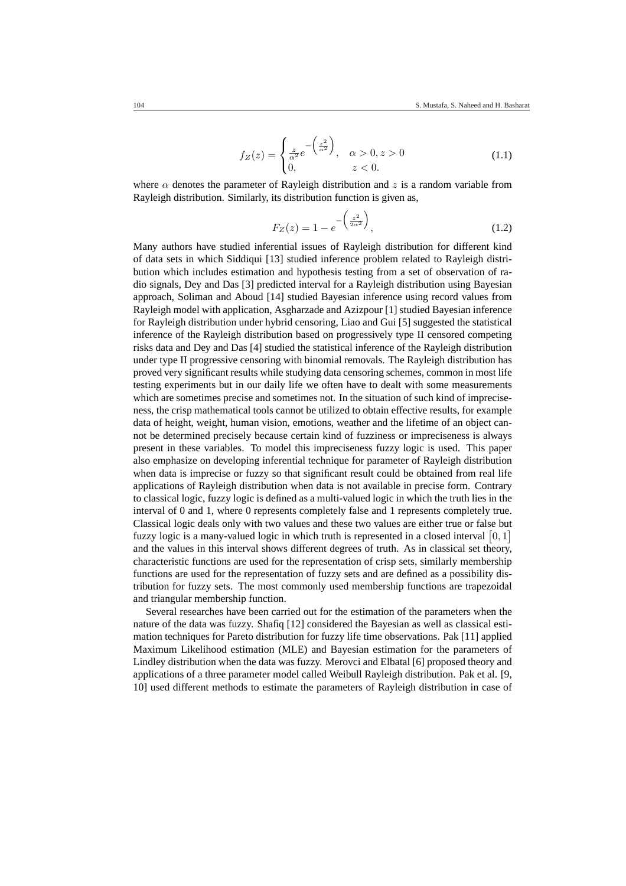$$
f_Z(z) = \begin{cases} \frac{z}{\alpha^2} e^{-\left(\frac{z^2}{\alpha^2}\right)}, & \alpha > 0, z > 0\\ 0, & z < 0. \end{cases}
$$
 (1.1)

where  $\alpha$  denotes the parameter of Rayleigh distribution and z is a random variable from Rayleigh distribution. Similarly, its distribution function is given as,

$$
F_Z(z) = 1 - e^{-\left(\frac{z^2}{2\alpha^2}\right)},
$$
\n(1.2)

Many authors have studied inferential issues of Rayleigh distribution for different kind of data sets in which Siddiqui [13] studied inference problem related to Rayleigh distribution which includes estimation and hypothesis testing from a set of observation of radio signals, Dey and Das [3] predicted interval for a Rayleigh distribution using Bayesian approach, Soliman and Aboud [14] studied Bayesian inference using record values from Rayleigh model with application, Asgharzade and Azizpour [1] studied Bayesian inference for Rayleigh distribution under hybrid censoring, Liao and Gui [5] suggested the statistical inference of the Rayleigh distribution based on progressively type II censored competing risks data and Dey and Das [4] studied the statistical inference of the Rayleigh distribution under type II progressive censoring with binomial removals. The Rayleigh distribution has proved very significant results while studying data censoring schemes, common in most life testing experiments but in our daily life we often have to dealt with some measurements which are sometimes precise and sometimes not. In the situation of such kind of impreciseness, the crisp mathematical tools cannot be utilized to obtain effective results, for example data of height, weight, human vision, emotions, weather and the lifetime of an object cannot be determined precisely because certain kind of fuzziness or impreciseness is always present in these variables. To model this impreciseness fuzzy logic is used. This paper also emphasize on developing inferential technique for parameter of Rayleigh distribution when data is imprecise or fuzzy so that significant result could be obtained from real life applications of Rayleigh distribution when data is not available in precise form. Contrary to classical logic, fuzzy logic is defined as a multi-valued logic in which the truth lies in the interval of 0 and 1, where 0 represents completely false and 1 represents completely true. Classical logic deals only with two values and these two values are either true or false but ¤ Classical logic deals only with two values and these two values are either true or raise bu<br>fuzzy logic is a many-valued logic in which truth is represented in a closed interval  $[0,1]$ and the values in this interval shows different degrees of truth. As in classical set theory, characteristic functions are used for the representation of crisp sets, similarly membership functions are used for the representation of fuzzy sets and are defined as a possibility distribution for fuzzy sets. The most commonly used membership functions are trapezoidal and triangular membership function.

Several researches have been carried out for the estimation of the parameters when the nature of the data was fuzzy. Shafiq [12] considered the Bayesian as well as classical estimation techniques for Pareto distribution for fuzzy life time observations. Pak [11] applied Maximum Likelihood estimation (MLE) and Bayesian estimation for the parameters of Lindley distribution when the data was fuzzy. Merovci and Elbatal [6] proposed theory and applications of a three parameter model called Weibull Rayleigh distribution. Pak et al. [9, 10] used different methods to estimate the parameters of Rayleigh distribution in case of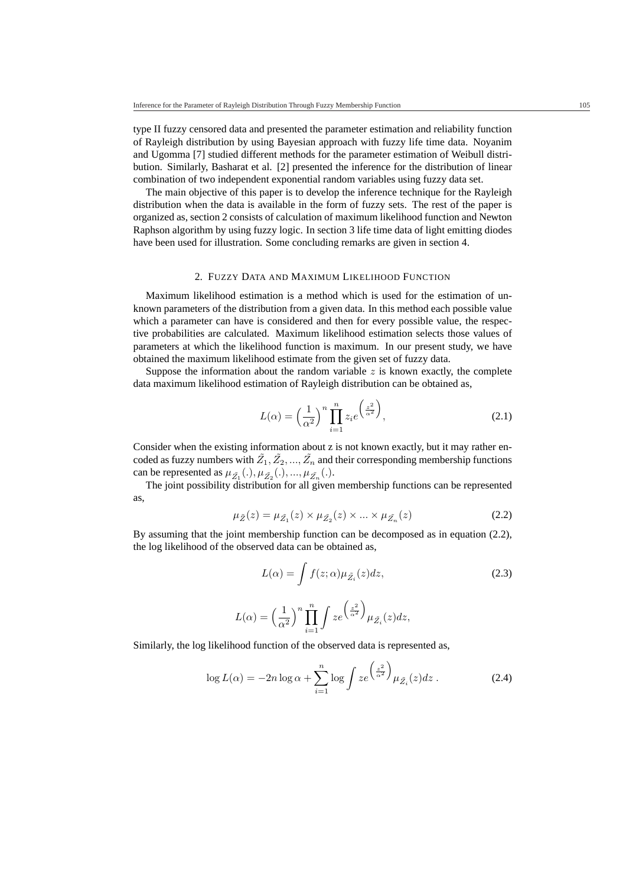type II fuzzy censored data and presented the parameter estimation and reliability function of Rayleigh distribution by using Bayesian approach with fuzzy life time data. Noyanim and Ugomma [7] studied different methods for the parameter estimation of Weibull distribution. Similarly, Basharat et al. [2] presented the inference for the distribution of linear combination of two independent exponential random variables using fuzzy data set.

The main objective of this paper is to develop the inference technique for the Rayleigh distribution when the data is available in the form of fuzzy sets. The rest of the paper is organized as, section 2 consists of calculation of maximum likelihood function and Newton Raphson algorithm by using fuzzy logic. In section 3 life time data of light emitting diodes have been used for illustration. Some concluding remarks are given in section 4.

### 2. FUZZY DATA AND MAXIMUM LIKELIHOOD FUNCTION

Maximum likelihood estimation is a method which is used for the estimation of unknown parameters of the distribution from a given data. In this method each possible value which a parameter can have is considered and then for every possible value, the respective probabilities are calculated. Maximum likelihood estimation selects those values of parameters at which the likelihood function is maximum. In our present study, we have obtained the maximum likelihood estimate from the given set of fuzzy data.

Suppose the information about the random variable  $z$  is known exactly, the complete data maximum likelihood estimation of Rayleigh distribution can be obtained as,

$$
L(\alpha) = \left(\frac{1}{\alpha^2}\right)^n \prod_{i=1}^n z_i e^{\left(\frac{z^2}{\alpha^2}\right)},
$$
\n(2.1)

Consider when the existing information about z is not known exactly, but it may rather encoded as fuzzy numbers with  $\tilde{Z}_1, \tilde{Z}_2, ..., \tilde{Z}_n$  and their corresponding membership functions can be represented as  $\mu_{\tilde{Z_1}}(.), \mu_{\tilde{Z_2}}(.), ..., \mu_{\tilde{Z_n}}(.).$ 

The joint possibility distribution for all given membership functions can be represented as,

$$
\mu_{\tilde{Z}}(z) = \mu_{\tilde{Z}_1}(z) \times \mu_{\tilde{Z}_2}(z) \times \dots \times \mu_{\tilde{Z}_n}(z)
$$
\n(2.2)

By assuming that the joint membership function can be decomposed as in equation (2.2), the log likelihood of the observed data can be obtained as,

$$
L(\alpha) = \int f(z; \alpha) \mu_{\tilde{Z}_i}(z) dz,
$$
\n(2.3)

$$
L(\alpha) = \left(\frac{1}{\alpha^2}\right)^n \prod_{i=1}^n \int ze^{\left(\frac{z^2}{\alpha^2}\right)} \mu_{\tilde{Z}_i}(z) dz,
$$

Similarly, the log likelihood function of the observed data is represented as,

$$
\log L(\alpha) = -2n \log \alpha + \sum_{i=1}^{n} \log \int z e^{\left(\frac{z^2}{\alpha^2}\right)} \mu_{\tilde{Z}_i}(z) dz . \tag{2.4}
$$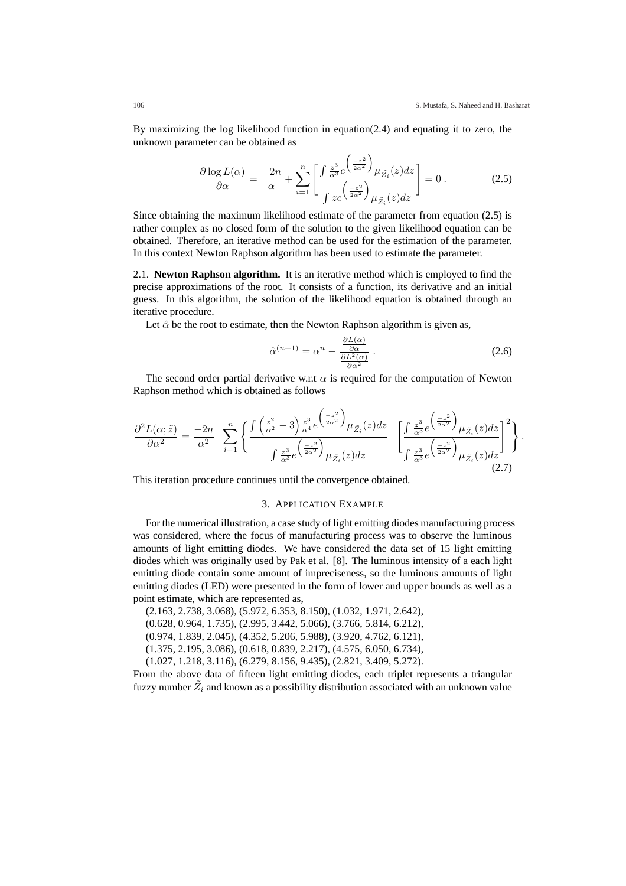.

By maximizing the log likelihood function in equation(2.4) and equating it to zero, the unknown parameter can be obtained as  $\overline{a}$ ´

$$
\frac{\partial \log L(\alpha)}{\partial \alpha} = \frac{-2n}{\alpha} + \sum_{i=1}^{n} \left[ \frac{\int \frac{z^3}{\alpha^3} e^{-\frac{z^2}{2\alpha^2}} \mu_{\tilde{Z}_i}(z) dz}{\int z e^{-\frac{z^2}{2\alpha^2}} \mu_{\tilde{Z}_i}(z) dz} \right] = 0.
$$
 (2.5)

Since obtaining the maximum likelihood estimate of the parameter from equation (2.5) is rather complex as no closed form of the solution to the given likelihood equation can be obtained. Therefore, an iterative method can be used for the estimation of the parameter. In this context Newton Raphson algorithm has been used to estimate the parameter.

2.1. **Newton Raphson algorithm.** It is an iterative method which is employed to find the precise approximations of the root. It consists of a function, its derivative and an initial guess. In this algorithm, the solution of the likelihood equation is obtained through an iterative procedure.

Let  $\hat{\alpha}$  be the root to estimate, then the Newton Raphson algorithm is given as,

$$
\hat{\alpha}^{(n+1)} = \alpha^n - \frac{\frac{\partial L(\alpha)}{\partial \alpha}}{\frac{\partial L^2(\alpha)}{\partial \alpha^2}}.
$$
\n(2.6)

The second order partial derivative w.r.t  $\alpha$  is required for the computation of Newton Raphson method which is obtained as follows

$$
\frac{\partial^2 L(\alpha; \tilde{z})}{\partial \alpha^2} = \frac{-2n}{\alpha^2} + \sum_{i=1}^n \left\{ \frac{\int \left(\frac{z^2}{\alpha^2} - 3\right) \frac{z^3}{\alpha^4} e^{\left(\frac{-z^2}{2\alpha^2}\right)} \mu_{\tilde{Z}_i}(z) dz}{\int \frac{z^3}{\alpha^3} e^{\left(\frac{-z^2}{2\alpha^2}\right)} \mu_{\tilde{Z}_i}(z) dz} - \left[ \frac{\int \frac{z^3}{\alpha^3} e^{\left(\frac{-z^2}{2\alpha^2}\right)} \mu_{\tilde{Z}_i}(z) dz}{\int \frac{z^3}{\alpha^3} e^{\left(\frac{-z^2}{2\alpha^2}\right)} \mu_{\tilde{Z}_i}(z) dz} \right]^2 \right\}
$$
(2.7)

This iteration procedure continues until the convergence obtained.

### 3. APPLICATION EXAMPLE

For the numerical illustration, a case study of light emitting diodes manufacturing process was considered, where the focus of manufacturing process was to observe the luminous amounts of light emitting diodes. We have considered the data set of 15 light emitting diodes which was originally used by Pak et al. [8]. The luminous intensity of a each light emitting diode contain some amount of impreciseness, so the luminous amounts of light emitting diodes (LED) were presented in the form of lower and upper bounds as well as a point estimate, which are represented as,

(2.163, 2.738, 3.068), (5.972, 6.353, 8.150), (1.032, 1.971, 2.642), (0.628, 0.964, 1.735), (2.995, 3.442, 5.066), (3.766, 5.814, 6.212), (0.974, 1.839, 2.045), (4.352, 5.206, 5.988), (3.920, 4.762, 6.121), (1.375, 2.195, 3.086), (0.618, 0.839, 2.217), (4.575, 6.050, 6.734), (1.027, 1.218, 3.116), (6.279, 8.156, 9.435), (2.821, 3.409, 5.272).

From the above data of fifteen light emitting diodes, each triplet represents a triangular fuzzy number  $\tilde{Z}_i$  and known as a possibility distribution associated with an unknown value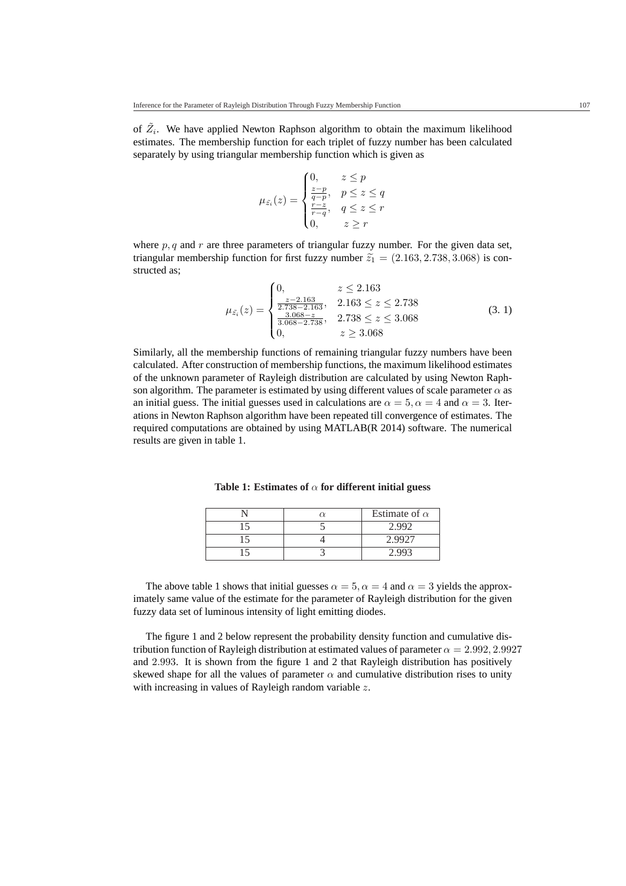of  $\tilde{Z}_i$ . We have applied Newton Raphson algorithm to obtain the maximum likelihood estimates. The membership function for each triplet of fuzzy number has been calculated separately by using triangular membership function which is given as

$$
\mu_{\tilde{z}_i}(z) = \begin{cases}\n0, & z \le p \\
\frac{z-p}{q-p}, & p \le z \le q \\
\frac{r-z}{r-q}, & q \le z \le r \\
0, & z \ge r\n\end{cases}
$$

where  $p, q$  and r are three parameters of triangular fuzzy number. For the given data set, triangular membership function for first fuzzy number  $\tilde{z_1} = (2.163, 2.738, 3.068)$  is constructed as;  $\overline{a}$ 

$$
\mu_{\tilde{z}_i}(z) = \begin{cases}\n0, & z \le 2.163 \\
\frac{z - 2.163}{2.738 - 2.163}, & 2.163 \le z \le 2.738 \\
\frac{3.068 - z}{3.068 - 2.738}, & 2.738 \le z \le 3.068 \\
0, & z \ge 3.068\n\end{cases}
$$
\n(3. 1)

Similarly, all the membership functions of remaining triangular fuzzy numbers have been calculated. After construction of membership functions, the maximum likelihood estimates of the unknown parameter of Rayleigh distribution are calculated by using Newton Raphson algorithm. The parameter is estimated by using different values of scale parameter  $\alpha$  as an initial guess. The initial guesses used in calculations are  $\alpha = 5$ ,  $\alpha = 4$  and  $\alpha = 3$ . Iterations in Newton Raphson algorithm have been repeated till convergence of estimates. The required computations are obtained by using MATLAB(R 2014) software. The numerical results are given in table 1.

**Table 1: Estimates of** α **for different initial guess**

|  | Estimate of $\alpha$ |
|--|----------------------|
|  |                      |
|  |                      |
|  |                      |

The above table 1 shows that initial guesses  $\alpha = 5$ ,  $\alpha = 4$  and  $\alpha = 3$  yields the approximately same value of the estimate for the parameter of Rayleigh distribution for the given fuzzy data set of luminous intensity of light emitting diodes.

The figure 1 and 2 below represent the probability density function and cumulative distribution function of Rayleigh distribution at estimated values of parameter  $\alpha = 2.992, 2.9927$ and 2.993. It is shown from the figure 1 and 2 that Rayleigh distribution has positively skewed shape for all the values of parameter  $\alpha$  and cumulative distribution rises to unity with increasing in values of Rayleigh random variable z.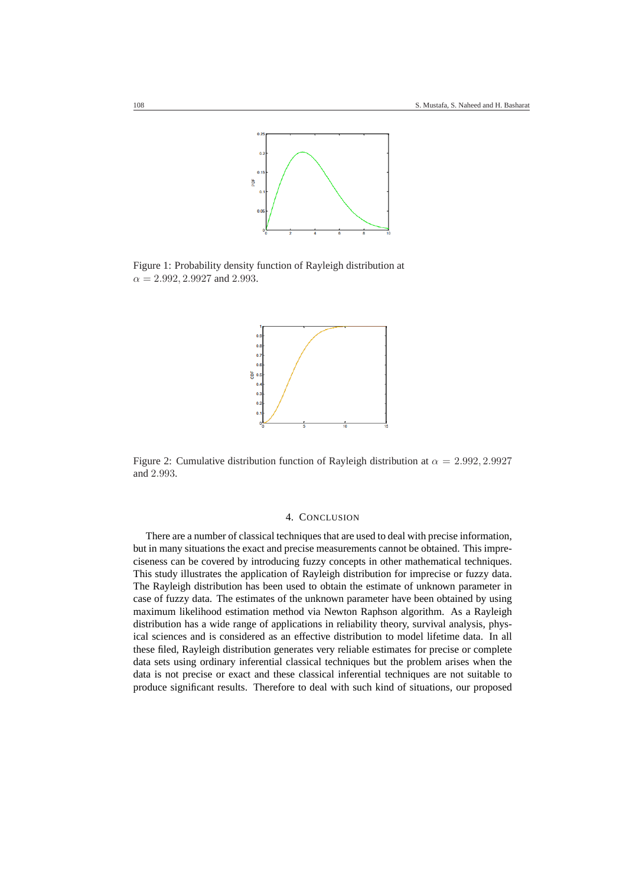

Figure 1: Probability density function of Rayleigh distribution at  $\alpha = 2.992, 2.9927$  and 2.993.



Figure 2: Cumulative distribution function of Rayleigh distribution at  $\alpha = 2.992, 2.9927$ and 2.993.

## 4. CONCLUSION

There are a number of classical techniques that are used to deal with precise information, but in many situations the exact and precise measurements cannot be obtained. This impreciseness can be covered by introducing fuzzy concepts in other mathematical techniques. This study illustrates the application of Rayleigh distribution for imprecise or fuzzy data. The Rayleigh distribution has been used to obtain the estimate of unknown parameter in case of fuzzy data. The estimates of the unknown parameter have been obtained by using maximum likelihood estimation method via Newton Raphson algorithm. As a Rayleigh distribution has a wide range of applications in reliability theory, survival analysis, physical sciences and is considered as an effective distribution to model lifetime data. In all these filed, Rayleigh distribution generates very reliable estimates for precise or complete data sets using ordinary inferential classical techniques but the problem arises when the data is not precise or exact and these classical inferential techniques are not suitable to produce significant results. Therefore to deal with such kind of situations, our proposed